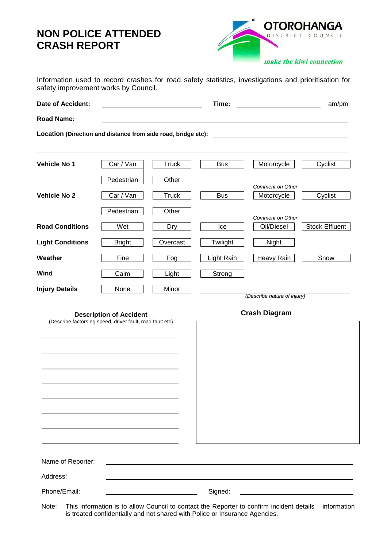## **NON POLICE ATTENDED CRASH REPORT**



|                                      |  |  |  |  |  |  |  |  | Information used to record crashes for road safety statistics, investigations and prioritisation for |  |  |  |
|--------------------------------------|--|--|--|--|--|--|--|--|------------------------------------------------------------------------------------------------------|--|--|--|
| safety improvement works by Council. |  |  |  |  |  |  |  |  |                                                                                                      |  |  |  |

| Date of Accident:                                             |                                |              | Time:                       |                  | am/pm                 |  |  |  |  |  |  |  |
|---------------------------------------------------------------|--------------------------------|--------------|-----------------------------|------------------|-----------------------|--|--|--|--|--|--|--|
| <b>Road Name:</b>                                             |                                |              |                             |                  |                       |  |  |  |  |  |  |  |
| Location (Direction and distance from side road, bridge etc): |                                |              |                             |                  |                       |  |  |  |  |  |  |  |
| <b>Vehicle No 1</b>                                           | Car / Van                      | Truck        | <b>Bus</b>                  | Motorcycle       | Cyclist               |  |  |  |  |  |  |  |
|                                                               | Pedestrian                     | Other        |                             | Comment on Other |                       |  |  |  |  |  |  |  |
| <b>Vehicle No 2</b>                                           | Car / Van                      | <b>Truck</b> | <b>Bus</b>                  | Motorcycle       | Cyclist               |  |  |  |  |  |  |  |
|                                                               | Pedestrian                     | Other        |                             | Comment on Other |                       |  |  |  |  |  |  |  |
| <b>Road Conditions</b>                                        | Wet                            | <b>Dry</b>   | Ice                         | Oil/Diesel       | <b>Stock Effluent</b> |  |  |  |  |  |  |  |
| <b>Light Conditions</b>                                       | <b>Bright</b>                  | Overcast     | Twilight                    | Night            |                       |  |  |  |  |  |  |  |
| Weather                                                       | Fine                           | Fog          | Light Rain                  | Heavy Rain       | Snow                  |  |  |  |  |  |  |  |
| Wind                                                          | Calm                           | Light        | Strong                      |                  |                       |  |  |  |  |  |  |  |
| <b>Injury Details</b>                                         | None                           | Minor        | (Describe nature of injury) |                  |                       |  |  |  |  |  |  |  |
|                                                               | <b>Description of Accident</b> |              | <b>Crash Diagram</b>        |                  |                       |  |  |  |  |  |  |  |

**Description of Accident Crash Diagram**  (Describe factors eg speed, driver fault, road fault etc) Name of Reporter: Address: Phone/Email: Signed:

Note: This information is to allow Council to contact the Reporter to confirm incident details – information is treated confidentially and not shared with Police or Insurance Agencies.